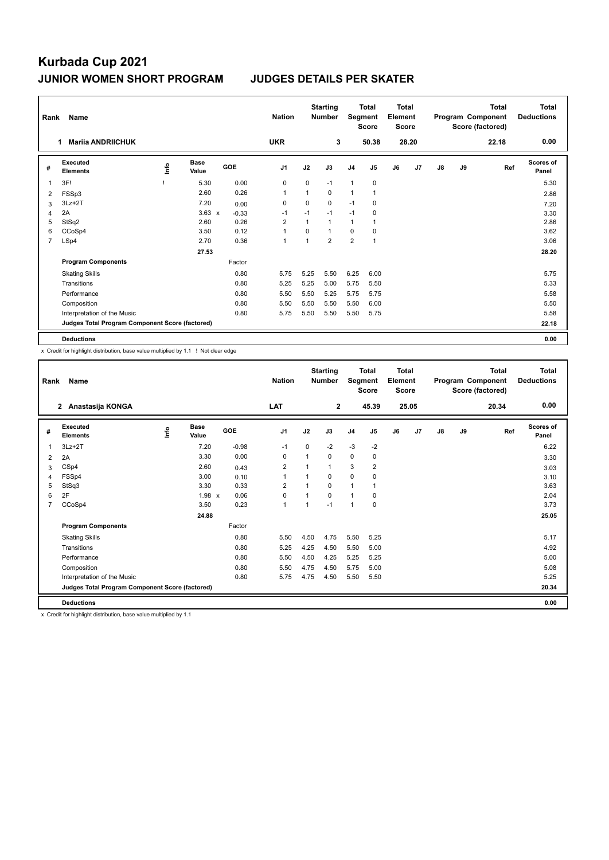| Rank           | Name                                            |   |                      |         | <b>Nation</b>  |              | <b>Starting</b><br><b>Number</b> |                | <b>Total</b><br>Segment<br><b>Score</b> | Total<br>Element<br><b>Score</b> |       |               |    | <b>Total</b><br>Program Component<br>Score (factored) | <b>Total</b><br><b>Deductions</b> |
|----------------|-------------------------------------------------|---|----------------------|---------|----------------|--------------|----------------------------------|----------------|-----------------------------------------|----------------------------------|-------|---------------|----|-------------------------------------------------------|-----------------------------------|
|                | <b>Mariia ANDRIICHUK</b><br>1.                  |   |                      |         | <b>UKR</b>     |              | 3                                |                | 50.38                                   |                                  | 28.20 |               |    | 22.18                                                 | 0.00                              |
| #              | Executed<br><b>Elements</b>                     | ۴ | <b>Base</b><br>Value | GOE     | J <sub>1</sub> | J2           | J3                               | J <sub>4</sub> | J <sub>5</sub>                          | J6                               | J7    | $\mathsf{J}8$ | J9 | Ref                                                   | Scores of<br>Panel                |
|                | 3F!                                             |   | 5.30                 | 0.00    | 0              | 0            | $-1$                             | $\mathbf{1}$   | $\pmb{0}$                               |                                  |       |               |    |                                                       | 5.30                              |
| 2              | FSSp3                                           |   | 2.60                 | 0.26    | 1              | 1            | 0                                | 1              |                                         |                                  |       |               |    |                                                       | 2.86                              |
| 3              | $3Lz + 2T$                                      |   | 7.20                 | 0.00    | 0              | 0            | $\mathbf 0$                      | $-1$           | 0                                       |                                  |       |               |    |                                                       | 7.20                              |
| 4              | 2A                                              |   | $3.63 \times$        | $-0.33$ | $-1$           | $-1$         | $-1$                             | $-1$           | 0                                       |                                  |       |               |    |                                                       | 3.30                              |
| 5              | StSq2                                           |   | 2.60                 | 0.26    | 2              | $\mathbf{1}$ | $\mathbf{1}$                     | $\mathbf{1}$   |                                         |                                  |       |               |    |                                                       | 2.86                              |
| 6              | CCoSp4                                          |   | 3.50                 | 0.12    | 1              | 0            | $\mathbf{1}$                     | 0              | 0                                       |                                  |       |               |    |                                                       | 3.62                              |
| $\overline{7}$ | LSp4                                            |   | 2.70                 | 0.36    | 1              | 1            | $\overline{2}$                   | $\overline{2}$ | $\overline{1}$                          |                                  |       |               |    |                                                       | 3.06                              |
|                |                                                 |   | 27.53                |         |                |              |                                  |                |                                         |                                  |       |               |    |                                                       | 28.20                             |
|                | <b>Program Components</b>                       |   |                      | Factor  |                |              |                                  |                |                                         |                                  |       |               |    |                                                       |                                   |
|                | <b>Skating Skills</b>                           |   |                      | 0.80    | 5.75           | 5.25         | 5.50                             | 6.25           | 6.00                                    |                                  |       |               |    |                                                       | 5.75                              |
|                | Transitions                                     |   |                      | 0.80    | 5.25           | 5.25         | 5.00                             | 5.75           | 5.50                                    |                                  |       |               |    |                                                       | 5.33                              |
|                | Performance                                     |   |                      | 0.80    | 5.50           | 5.50         | 5.25                             | 5.75           | 5.75                                    |                                  |       |               |    |                                                       | 5.58                              |
|                | Composition                                     |   |                      | 0.80    | 5.50           | 5.50         | 5.50                             | 5.50           | 6.00                                    |                                  |       |               |    |                                                       | 5.50                              |
|                | Interpretation of the Music                     |   |                      | 0.80    | 5.75           | 5.50         | 5.50                             | 5.50           | 5.75                                    |                                  |       |               |    |                                                       | 5.58                              |
|                | Judges Total Program Component Score (factored) |   |                      |         |                |              |                                  |                |                                         |                                  |       |               |    |                                                       | 22.18                             |
|                | <b>Deductions</b>                               |   |                      |         |                |              |                                  |                |                                         |                                  |       |               |    |                                                       | 0.00                              |

x Credit for highlight distribution, base value multiplied by 1.1 ! Not clear edge

| Rank | Name                                            |      |                      |         | <b>Nation</b>  |          | <b>Starting</b><br><b>Number</b> | Segment        | <b>Total</b><br><b>Score</b> | Total<br>Element<br><b>Score</b> |       |               |    | Total<br>Program Component<br>Score (factored) | <b>Total</b><br><b>Deductions</b> |
|------|-------------------------------------------------|------|----------------------|---------|----------------|----------|----------------------------------|----------------|------------------------------|----------------------------------|-------|---------------|----|------------------------------------------------|-----------------------------------|
|      | Anastasija KONGA<br>$\overline{2}$              |      |                      |         | <b>LAT</b>     |          | $\overline{2}$                   |                | 45.39                        |                                  | 25.05 |               |    | 20.34                                          | 0.00                              |
| #    | Executed<br><b>Elements</b>                     | ١nf٥ | <b>Base</b><br>Value | GOE     | J <sub>1</sub> | J2       | J3                               | J <sub>4</sub> | J <sub>5</sub>               | J6                               | J7    | $\mathsf{J}8$ | J9 | Ref                                            | Scores of<br>Panel                |
| 1    | $3Lz + 2T$                                      |      | 7.20                 | $-0.98$ | $-1$           | $\Omega$ | $-2$                             | $-3$           | $-2$                         |                                  |       |               |    |                                                | 6.22                              |
| 2    | 2A                                              |      | 3.30                 | 0.00    | $\Omega$       | 1        | 0                                | $\mathbf 0$    | 0                            |                                  |       |               |    |                                                | 3.30                              |
| 3    | CSp4                                            |      | 2.60                 | 0.43    | 2              |          | 1                                | 3              | 2                            |                                  |       |               |    |                                                | 3.03                              |
| 4    | FSSp4                                           |      | 3.00                 | 0.10    | 1              |          | 0                                | $\mathbf 0$    | $\Omega$                     |                                  |       |               |    |                                                | 3.10                              |
| 5    | StSq3                                           |      | 3.30                 | 0.33    | $\overline{2}$ |          | 0                                | 1              | 1                            |                                  |       |               |    |                                                | 3.63                              |
| 6    | 2F                                              |      | 1.98 x               | 0.06    | 0              |          | 0                                | 1              | 0                            |                                  |       |               |    |                                                | 2.04                              |
| 7    | CCoSp4                                          |      | 3.50                 | 0.23    | 1              | 1        | $-1$                             | 1              | 0                            |                                  |       |               |    |                                                | 3.73                              |
|      |                                                 |      | 24.88                |         |                |          |                                  |                |                              |                                  |       |               |    |                                                | 25.05                             |
|      | <b>Program Components</b>                       |      |                      | Factor  |                |          |                                  |                |                              |                                  |       |               |    |                                                |                                   |
|      | <b>Skating Skills</b>                           |      |                      | 0.80    | 5.50           | 4.50     | 4.75                             | 5.50           | 5.25                         |                                  |       |               |    |                                                | 5.17                              |
|      | Transitions                                     |      |                      | 0.80    | 5.25           | 4.25     | 4.50                             | 5.50           | 5.00                         |                                  |       |               |    |                                                | 4.92                              |
|      | Performance                                     |      |                      | 0.80    | 5.50           | 4.50     | 4.25                             | 5.25           | 5.25                         |                                  |       |               |    |                                                | 5.00                              |
|      | Composition                                     |      |                      | 0.80    | 5.50           | 4.75     | 4.50                             | 5.75           | 5.00                         |                                  |       |               |    |                                                | 5.08                              |
|      | Interpretation of the Music                     |      |                      | 0.80    | 5.75           | 4.75     | 4.50                             | 5.50           | 5.50                         |                                  |       |               |    |                                                | 5.25                              |
|      | Judges Total Program Component Score (factored) |      |                      |         |                |          |                                  |                |                              |                                  |       |               |    |                                                | 20.34                             |
|      | <b>Deductions</b>                               |      |                      |         |                |          |                                  |                |                              |                                  |       |               |    |                                                | 0.00                              |

x Credit for highlight distribution, base value multiplied by 1.1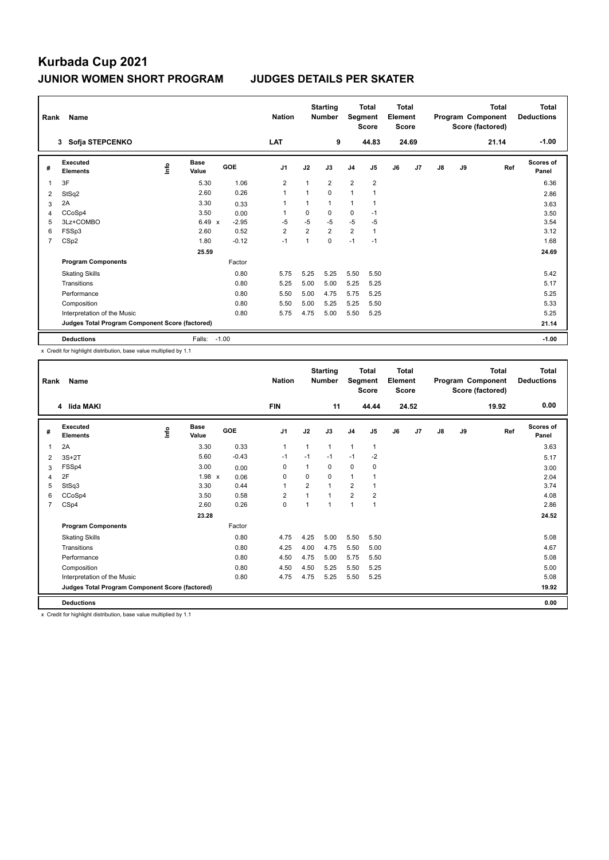| Rank | Name                                            |    |                      |            | <b>Nation</b>  |                | <b>Starting</b><br><b>Number</b> | Segment        | <b>Total</b><br><b>Score</b> | <b>Total</b><br>Element<br><b>Score</b> |       |    |    | <b>Total</b><br>Program Component<br>Score (factored) | Total<br><b>Deductions</b> |
|------|-------------------------------------------------|----|----------------------|------------|----------------|----------------|----------------------------------|----------------|------------------------------|-----------------------------------------|-------|----|----|-------------------------------------------------------|----------------------------|
|      | Sofja STEPCENKO<br>$3^{\circ}$                  |    |                      |            | <b>LAT</b>     |                | 9                                |                | 44.83                        |                                         | 24.69 |    |    | 21.14                                                 | $-1.00$                    |
| #    | <b>Executed</b><br><b>Elements</b>              | ۴ů | <b>Base</b><br>Value | <b>GOE</b> | J <sub>1</sub> | J2             | J3                               | J <sub>4</sub> | J <sub>5</sub>               | J6                                      | J7    | J8 | J9 | Ref                                                   | <b>Scores of</b><br>Panel  |
| 1    | 3F                                              |    | 5.30                 | 1.06       | $\overline{2}$ | $\mathbf{1}$   | $\overline{2}$                   | $\overline{2}$ | $\overline{2}$               |                                         |       |    |    |                                                       | 6.36                       |
| 2    | StSq2                                           |    | 2.60                 | 0.26       | $\overline{1}$ | $\mathbf{1}$   | $\Omega$                         | 1              |                              |                                         |       |    |    |                                                       | 2.86                       |
| 3    | 2A                                              |    | 3.30                 | 0.33       | 1              | 1              | $\mathbf{1}$                     | 1              |                              |                                         |       |    |    |                                                       | 3.63                       |
| 4    | CCoSp4                                          |    | 3.50                 | 0.00       | 1              | 0              | 0                                | 0              | $-1$                         |                                         |       |    |    |                                                       | 3.50                       |
| 5    | 3Lz+COMBO                                       |    | $6.49 \times$        | $-2.95$    | $-5$           | $-5$           | $-5$                             | $-5$           | $-5$                         |                                         |       |    |    |                                                       | 3.54                       |
| 6    | FSSp3                                           |    | 2.60                 | 0.52       | $\overline{2}$ | $\overline{2}$ | $\overline{2}$                   | $\overline{2}$ | $\mathbf{1}$                 |                                         |       |    |    |                                                       | 3.12                       |
| 7    | CSp2                                            |    | 1.80                 | $-0.12$    | $-1$           | $\mathbf{1}$   | 0                                | $-1$           | $-1$                         |                                         |       |    |    |                                                       | 1.68                       |
|      |                                                 |    | 25.59                |            |                |                |                                  |                |                              |                                         |       |    |    |                                                       | 24.69                      |
|      | <b>Program Components</b>                       |    |                      | Factor     |                |                |                                  |                |                              |                                         |       |    |    |                                                       |                            |
|      | <b>Skating Skills</b>                           |    |                      | 0.80       | 5.75           | 5.25           | 5.25                             | 5.50           | 5.50                         |                                         |       |    |    |                                                       | 5.42                       |
|      | Transitions                                     |    |                      | 0.80       | 5.25           | 5.00           | 5.00                             | 5.25           | 5.25                         |                                         |       |    |    |                                                       | 5.17                       |
|      | Performance                                     |    |                      | 0.80       | 5.50           | 5.00           | 4.75                             | 5.75           | 5.25                         |                                         |       |    |    |                                                       | 5.25                       |
|      | Composition                                     |    |                      | 0.80       | 5.50           | 5.00           | 5.25                             | 5.25           | 5.50                         |                                         |       |    |    |                                                       | 5.33                       |
|      | Interpretation of the Music                     |    |                      | 0.80       | 5.75           | 4.75           | 5.00                             | 5.50           | 5.25                         |                                         |       |    |    |                                                       | 5.25                       |
|      | Judges Total Program Component Score (factored) |    |                      |            |                |                |                                  |                |                              |                                         |       |    |    |                                                       | 21.14                      |
|      | <b>Deductions</b>                               |    | Falls:               | $-1.00$    |                |                |                                  |                |                              |                                         |       |    |    |                                                       | $-1.00$                    |

x Credit for highlight distribution, base value multiplied by 1.1

| Rank           | Name<br>4 lida MAKI                             |      |                      |            | <b>Nation</b>  |                | <b>Starting</b><br><b>Number</b> | Segment        | <b>Total</b><br><b>Score</b> | <b>Total</b><br>Element<br><b>Score</b> |       |               |    | <b>Total</b><br>Program Component<br>Score (factored) | <b>Total</b><br><b>Deductions</b> |
|----------------|-------------------------------------------------|------|----------------------|------------|----------------|----------------|----------------------------------|----------------|------------------------------|-----------------------------------------|-------|---------------|----|-------------------------------------------------------|-----------------------------------|
|                |                                                 |      |                      |            | <b>FIN</b>     |                | 11                               |                | 44.44                        |                                         | 24.52 |               |    | 19.92                                                 | 0.00                              |
| #              | Executed<br><b>Elements</b>                     | lnfo | <b>Base</b><br>Value | <b>GOE</b> | J <sub>1</sub> | J2             | J3                               | J <sub>4</sub> | J <sub>5</sub>               | J6                                      | J7    | $\mathsf{J}8$ | J9 | Ref                                                   | Scores of<br>Panel                |
| 1              | 2A                                              |      | 3.30                 | 0.33       | $\mathbf{1}$   | $\mathbf{1}$   | 1                                | $\mathbf{1}$   | $\mathbf{1}$                 |                                         |       |               |    |                                                       | 3.63                              |
| 2              | $3S+2T$                                         |      | 5.60                 | $-0.43$    | $-1$           | $-1$           | $-1$                             | $-1$           | $-2$                         |                                         |       |               |    |                                                       | 5.17                              |
| 3              | FSSp4                                           |      | 3.00                 | 0.00       | 0              | 1              | 0                                | $\mathbf 0$    | 0                            |                                         |       |               |    |                                                       | 3.00                              |
| 4              | 2F                                              |      | $1.98 \times$        | 0.06       | $\Omega$       | $\Omega$       | 0                                | 1              | 1                            |                                         |       |               |    |                                                       | 2.04                              |
| 5              | StSq3                                           |      | 3.30                 | 0.44       | $\overline{1}$ | $\overline{2}$ | 1                                | $\overline{2}$ | 1                            |                                         |       |               |    |                                                       | 3.74                              |
| 6              | CCoSp4                                          |      | 3.50                 | 0.58       | $\overline{2}$ | 1              | 1                                | $\overline{2}$ | $\overline{2}$               |                                         |       |               |    |                                                       | 4.08                              |
| $\overline{7}$ | CSp4                                            |      | 2.60                 | 0.26       | 0              | $\overline{1}$ | $\overline{1}$                   | 1              | $\mathbf{1}$                 |                                         |       |               |    |                                                       | 2.86                              |
|                |                                                 |      | 23.28                |            |                |                |                                  |                |                              |                                         |       |               |    |                                                       | 24.52                             |
|                | <b>Program Components</b>                       |      |                      | Factor     |                |                |                                  |                |                              |                                         |       |               |    |                                                       |                                   |
|                | <b>Skating Skills</b>                           |      |                      | 0.80       | 4.75           | 4.25           | 5.00                             | 5.50           | 5.50                         |                                         |       |               |    |                                                       | 5.08                              |
|                | Transitions                                     |      |                      | 0.80       | 4.25           | 4.00           | 4.75                             | 5.50           | 5.00                         |                                         |       |               |    |                                                       | 4.67                              |
|                | Performance                                     |      |                      | 0.80       | 4.50           | 4.75           | 5.00                             | 5.75           | 5.50                         |                                         |       |               |    |                                                       | 5.08                              |
|                | Composition                                     |      |                      | 0.80       | 4.50           | 4.50           | 5.25                             | 5.50           | 5.25                         |                                         |       |               |    |                                                       | 5.00                              |
|                | Interpretation of the Music                     |      |                      | 0.80       | 4.75           | 4.75           | 5.25                             | 5.50           | 5.25                         |                                         |       |               |    |                                                       | 5.08                              |
|                | Judges Total Program Component Score (factored) |      |                      |            |                |                |                                  |                |                              |                                         |       |               |    |                                                       | 19.92                             |
|                | <b>Deductions</b>                               |      |                      |            |                |                |                                  |                |                              |                                         |       |               |    |                                                       | 0.00                              |

x Credit for highlight distribution, base value multiplied by 1.1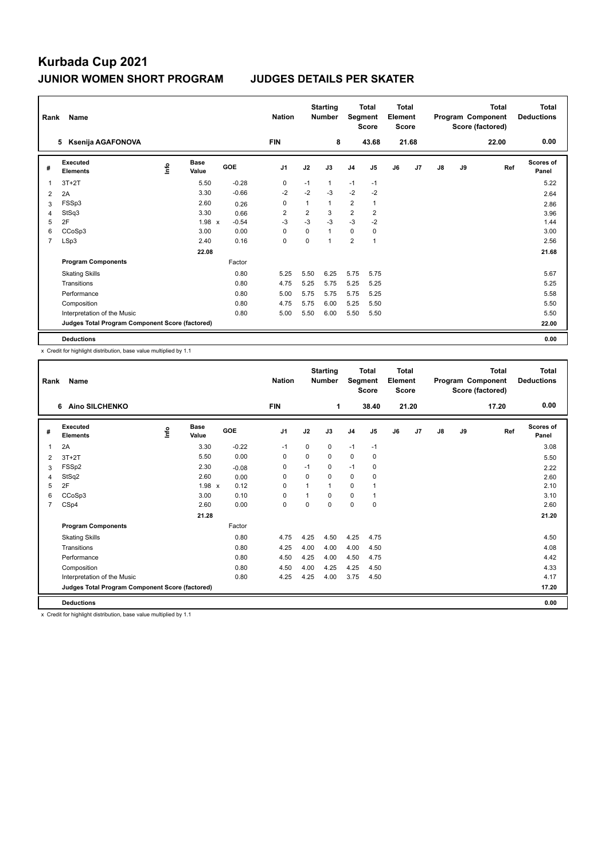| Rank | Name                                            |      |                      |            | <b>Nation</b>  |             | <b>Starting</b><br><b>Number</b> |                         | <b>Total</b><br>Segment<br><b>Score</b> | Total<br>Element<br><b>Score</b> |       |               |    | <b>Total</b><br>Program Component<br>Score (factored) | <b>Total</b><br><b>Deductions</b> |
|------|-------------------------------------------------|------|----------------------|------------|----------------|-------------|----------------------------------|-------------------------|-----------------------------------------|----------------------------------|-------|---------------|----|-------------------------------------------------------|-----------------------------------|
|      | Ksenija AGAFONOVA<br>5                          |      |                      |            | <b>FIN</b>     |             | 8                                |                         | 43.68                                   |                                  | 21.68 |               |    | 22.00                                                 | 0.00                              |
| #    | <b>Executed</b><br><b>Elements</b>              | lnfo | <b>Base</b><br>Value | <b>GOE</b> | J <sub>1</sub> | J2          | J3                               | J <sub>4</sub>          | J <sub>5</sub>                          | J6                               | J7    | $\mathsf{J}8$ | J9 | Ref                                                   | Scores of<br>Panel                |
| 1    | $3T+2T$                                         |      | 5.50                 | $-0.28$    | 0              | $-1$        | 1                                | $-1$                    | $-1$                                    |                                  |       |               |    |                                                       | 5.22                              |
| 2    | 2A                                              |      | 3.30                 | $-0.66$    | $-2$           | $-2$        | $-3$                             | $-2$                    | $-2$                                    |                                  |       |               |    |                                                       | 2.64                              |
| 3    | FSSp3                                           |      | 2.60                 | 0.26       | 0              | 1           | $\mathbf{1}$                     | $\overline{\mathbf{c}}$ | $\mathbf{1}$                            |                                  |       |               |    |                                                       | 2.86                              |
| 4    | StSq3                                           |      | 3.30                 | 0.66       | $\overline{2}$ | 2           | 3                                | $\overline{\mathbf{c}}$ | $\overline{\mathbf{c}}$                 |                                  |       |               |    |                                                       | 3.96                              |
| 5    | 2F                                              |      | $1.98 \times$        | $-0.54$    | $-3$           | $-3$        | $-3$                             | $-3$                    | $-2$                                    |                                  |       |               |    |                                                       | 1.44                              |
| 6    | CCoSp3                                          |      | 3.00                 | 0.00       | $\Omega$       | $\mathbf 0$ | $\mathbf{1}$                     | 0                       | 0                                       |                                  |       |               |    |                                                       | 3.00                              |
| 7    | LSp3                                            |      | 2.40                 | 0.16       | 0              | 0           | 1                                | $\overline{2}$          | $\mathbf{1}$                            |                                  |       |               |    |                                                       | 2.56                              |
|      |                                                 |      | 22.08                |            |                |             |                                  |                         |                                         |                                  |       |               |    |                                                       | 21.68                             |
|      | <b>Program Components</b>                       |      |                      | Factor     |                |             |                                  |                         |                                         |                                  |       |               |    |                                                       |                                   |
|      | <b>Skating Skills</b>                           |      |                      | 0.80       | 5.25           | 5.50        | 6.25                             | 5.75                    | 5.75                                    |                                  |       |               |    |                                                       | 5.67                              |
|      | Transitions                                     |      |                      | 0.80       | 4.75           | 5.25        | 5.75                             | 5.25                    | 5.25                                    |                                  |       |               |    |                                                       | 5.25                              |
|      | Performance                                     |      |                      | 0.80       | 5.00           | 5.75        | 5.75                             | 5.75                    | 5.25                                    |                                  |       |               |    |                                                       | 5.58                              |
|      | Composition                                     |      |                      | 0.80       | 4.75           | 5.75        | 6.00                             | 5.25                    | 5.50                                    |                                  |       |               |    |                                                       | 5.50                              |
|      | Interpretation of the Music                     |      |                      | 0.80       | 5.00           | 5.50        | 6.00                             | 5.50                    | 5.50                                    |                                  |       |               |    |                                                       | 5.50                              |
|      | Judges Total Program Component Score (factored) |      |                      |            |                |             |                                  |                         |                                         |                                  |       |               |    |                                                       | 22.00                             |
|      | <b>Deductions</b>                               |      |                      |            |                |             |                                  |                         |                                         |                                  |       |               |    |                                                       | 0.00                              |

x Credit for highlight distribution, base value multiplied by 1.1

| Rank           | Name                                            |      |                      |         | <b>Nation</b>  |          | <b>Starting</b><br><b>Number</b> | Segment        | <b>Total</b><br><b>Score</b> | <b>Total</b><br>Element<br><b>Score</b> |       |    |    | <b>Total</b><br>Program Component<br>Score (factored) | <b>Total</b><br><b>Deductions</b> |
|----------------|-------------------------------------------------|------|----------------------|---------|----------------|----------|----------------------------------|----------------|------------------------------|-----------------------------------------|-------|----|----|-------------------------------------------------------|-----------------------------------|
|                | <b>Aino SILCHENKO</b><br>6                      |      |                      |         | <b>FIN</b>     |          | 1                                |                | 38.40                        |                                         | 21.20 |    |    | 17.20                                                 | 0.00                              |
| #              | Executed<br><b>Elements</b>                     | lnfo | <b>Base</b><br>Value | GOE     | J <sub>1</sub> | J2       | J3                               | J <sub>4</sub> | J <sub>5</sub>               | J6                                      | J7    | J8 | J9 | Ref                                                   | <b>Scores of</b><br>Panel         |
| 1              | 2A                                              |      | 3.30                 | $-0.22$ | -1             | 0        | 0                                | $-1$           | $-1$                         |                                         |       |    |    |                                                       | 3.08                              |
| 2              | $3T+2T$                                         |      | 5.50                 | 0.00    | 0              | 0        | 0                                | 0              | 0                            |                                         |       |    |    |                                                       | 5.50                              |
| 3              | FSSp2                                           |      | 2.30                 | $-0.08$ | 0              | $-1$     | 0                                | $-1$           | 0                            |                                         |       |    |    |                                                       | 2.22                              |
| 4              | StSq2                                           |      | 2.60                 | 0.00    | 0              | $\Omega$ | 0                                | 0              | 0                            |                                         |       |    |    |                                                       | 2.60                              |
| 5              | 2F                                              |      | 1.98 x               | 0.12    | $\Omega$       | 1        | 1                                | 0              |                              |                                         |       |    |    |                                                       | 2.10                              |
| 6              | CCoSp3                                          |      | 3.00                 | 0.10    | 0              |          | 0                                | $\mathbf 0$    |                              |                                         |       |    |    |                                                       | 3.10                              |
| $\overline{7}$ | CSp4                                            |      | 2.60                 | 0.00    | 0              | $\Omega$ | 0                                | 0              | 0                            |                                         |       |    |    |                                                       | 2.60                              |
|                |                                                 |      | 21.28                |         |                |          |                                  |                |                              |                                         |       |    |    |                                                       | 21.20                             |
|                | <b>Program Components</b>                       |      |                      | Factor  |                |          |                                  |                |                              |                                         |       |    |    |                                                       |                                   |
|                | <b>Skating Skills</b>                           |      |                      | 0.80    | 4.75           | 4.25     | 4.50                             | 4.25           | 4.75                         |                                         |       |    |    |                                                       | 4.50                              |
|                | Transitions                                     |      |                      | 0.80    | 4.25           | 4.00     | 4.00                             | 4.00           | 4.50                         |                                         |       |    |    |                                                       | 4.08                              |
|                | Performance                                     |      |                      | 0.80    | 4.50           | 4.25     | 4.00                             | 4.50           | 4.75                         |                                         |       |    |    |                                                       | 4.42                              |
|                | Composition                                     |      |                      | 0.80    | 4.50           | 4.00     | 4.25                             | 4.25           | 4.50                         |                                         |       |    |    |                                                       | 4.33                              |
|                | Interpretation of the Music                     |      |                      | 0.80    | 4.25           | 4.25     | 4.00                             | 3.75           | 4.50                         |                                         |       |    |    |                                                       | 4.17                              |
|                | Judges Total Program Component Score (factored) |      |                      |         |                |          |                                  |                |                              |                                         |       |    |    |                                                       | 17.20                             |
|                | <b>Deductions</b>                               |      |                      |         |                |          |                                  |                |                              |                                         |       |    |    |                                                       | 0.00                              |

x Credit for highlight distribution, base value multiplied by 1.1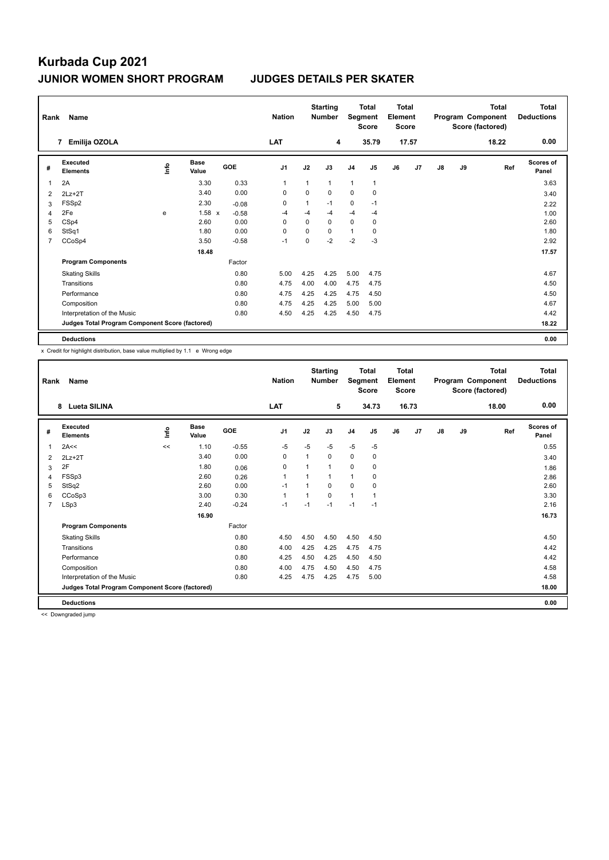| Rank | Name                                            |   |                      |         | <b>Nation</b>  |              | <b>Starting</b><br><b>Number</b> |                | Total<br>Segment<br><b>Score</b> | Total<br>Element<br><b>Score</b> |       |               |    | <b>Total</b><br>Program Component<br>Score (factored) | Total<br><b>Deductions</b> |
|------|-------------------------------------------------|---|----------------------|---------|----------------|--------------|----------------------------------|----------------|----------------------------------|----------------------------------|-------|---------------|----|-------------------------------------------------------|----------------------------|
|      | Emilija OZOLA<br>$\overline{7}$                 |   |                      |         | <b>LAT</b>     |              | 4                                |                | 35.79                            |                                  | 17.57 |               |    | 18.22                                                 | 0.00                       |
| #    | Executed<br><b>Elements</b>                     | ۴ | <b>Base</b><br>Value | GOE     | J <sub>1</sub> | J2           | J3                               | J <sub>4</sub> | J <sub>5</sub>                   | J6                               | J7    | $\mathsf{J}8$ | J9 | Ref                                                   | Scores of<br>Panel         |
|      | 2A                                              |   | 3.30                 | 0.33    | 1              | $\mathbf{1}$ | $\mathbf{1}$                     | $\mathbf{1}$   | $\mathbf{1}$                     |                                  |       |               |    |                                                       | 3.63                       |
| 2    | $2Lz+2T$                                        |   | 3.40                 | 0.00    | 0              | 0            | 0                                | 0              | 0                                |                                  |       |               |    |                                                       | 3.40                       |
| 3    | FSSp2                                           |   | 2.30                 | $-0.08$ | 0              | 1            | $-1$                             | 0              | $-1$                             |                                  |       |               |    |                                                       | 2.22                       |
| 4    | 2Fe                                             | e | $1.58 \times$        | $-0.58$ | $-4$           | $-4$         | $-4$                             | $-4$           | $-4$                             |                                  |       |               |    |                                                       | 1.00                       |
| 5    | CSp4                                            |   | 2.60                 | 0.00    | $\Omega$       | $\Omega$     | $\Omega$                         | $\mathbf 0$    | 0                                |                                  |       |               |    |                                                       | 2.60                       |
| 6    | StSq1                                           |   | 1.80                 | 0.00    | 0              | 0            | $\Omega$                         | $\mathbf{1}$   | 0                                |                                  |       |               |    |                                                       | 1.80                       |
| 7    | CCoSp4                                          |   | 3.50                 | $-0.58$ | $-1$           | 0            | $-2$                             | $-2$           | $-3$                             |                                  |       |               |    |                                                       | 2.92                       |
|      |                                                 |   | 18.48                |         |                |              |                                  |                |                                  |                                  |       |               |    |                                                       | 17.57                      |
|      | <b>Program Components</b>                       |   |                      | Factor  |                |              |                                  |                |                                  |                                  |       |               |    |                                                       |                            |
|      | <b>Skating Skills</b>                           |   |                      | 0.80    | 5.00           | 4.25         | 4.25                             | 5.00           | 4.75                             |                                  |       |               |    |                                                       | 4.67                       |
|      | Transitions                                     |   |                      | 0.80    | 4.75           | 4.00         | 4.00                             | 4.75           | 4.75                             |                                  |       |               |    |                                                       | 4.50                       |
|      | Performance                                     |   |                      | 0.80    | 4.75           | 4.25         | 4.25                             | 4.75           | 4.50                             |                                  |       |               |    |                                                       | 4.50                       |
|      | Composition                                     |   |                      | 0.80    | 4.75           | 4.25         | 4.25                             | 5.00           | 5.00                             |                                  |       |               |    |                                                       | 4.67                       |
|      | Interpretation of the Music                     |   |                      | 0.80    | 4.50           | 4.25         | 4.25                             | 4.50           | 4.75                             |                                  |       |               |    |                                                       | 4.42                       |
|      | Judges Total Program Component Score (factored) |   |                      |         |                |              |                                  |                |                                  |                                  |       |               |    |                                                       | 18.22                      |
|      | <b>Deductions</b>                               |   |                      |         |                |              |                                  |                |                                  |                                  |       |               |    |                                                       | 0.00                       |

x Credit for highlight distribution, base value multiplied by 1.1 e Wrong edge

| Rank           | Name                                            |      | <b>Nation</b>        |         | <b>Starting</b><br><b>Number</b> | Segment | <b>Total</b><br><b>Score</b> | Total<br>Element<br><b>Score</b> |                |    |       | Total<br>Program Component<br>Score (factored) | <b>Total</b><br><b>Deductions</b> |       |                           |
|----------------|-------------------------------------------------|------|----------------------|---------|----------------------------------|---------|------------------------------|----------------------------------|----------------|----|-------|------------------------------------------------|-----------------------------------|-------|---------------------------|
|                | <b>Lueta SILINA</b><br>8                        |      |                      |         | <b>LAT</b>                       |         | 5                            |                                  | 34.73          |    | 16.73 |                                                |                                   | 18.00 | 0.00                      |
| #              | Executed<br><b>Elements</b>                     | ١nf٥ | <b>Base</b><br>Value | GOE     | J <sub>1</sub>                   | J2      | J3                           | J <sub>4</sub>                   | J <sub>5</sub> | J6 | J7    | J8                                             | J9                                | Ref   | <b>Scores of</b><br>Panel |
| 1              | 2A<<                                            | <<   | 1.10                 | $-0.55$ | $-5$                             | $-5$    | $-5$                         | $-5$                             | $-5$           |    |       |                                                |                                   |       | 0.55                      |
| 2              | $2Lz+2T$                                        |      | 3.40                 | 0.00    | 0                                | 1       | 0                            | 0                                | 0              |    |       |                                                |                                   |       | 3.40                      |
| 3              | 2F                                              |      | 1.80                 | 0.06    | 0                                | 1       | 1                            | $\mathbf 0$                      | 0              |    |       |                                                |                                   |       | 1.86                      |
| 4              | FSSp3                                           |      | 2.60                 | 0.26    | 1                                |         | 1                            | 1                                | $\Omega$       |    |       |                                                |                                   |       | 2.86                      |
| 5              | StSq2                                           |      | 2.60                 | 0.00    | $-1$                             |         | 0                            | $\mathbf 0$                      | 0              |    |       |                                                |                                   |       | 2.60                      |
| 6              | CCoSp3                                          |      | 3.00                 | 0.30    | $\mathbf{1}$                     |         | 0                            | 1                                | 1              |    |       |                                                |                                   |       | 3.30                      |
| $\overline{7}$ | LSp3                                            |      | 2.40                 | $-0.24$ | $-1$                             | $-1$    | $-1$                         | $-1$                             | $-1$           |    |       |                                                |                                   |       | 2.16                      |
|                |                                                 |      | 16.90                |         |                                  |         |                              |                                  |                |    |       |                                                |                                   |       | 16.73                     |
|                | <b>Program Components</b>                       |      |                      | Factor  |                                  |         |                              |                                  |                |    |       |                                                |                                   |       |                           |
|                | <b>Skating Skills</b>                           |      |                      | 0.80    | 4.50                             | 4.50    | 4.50                         | 4.50                             | 4.50           |    |       |                                                |                                   |       | 4.50                      |
|                | Transitions                                     |      |                      | 0.80    | 4.00                             | 4.25    | 4.25                         | 4.75                             | 4.75           |    |       |                                                |                                   |       | 4.42                      |
|                | Performance                                     |      |                      | 0.80    | 4.25                             | 4.50    | 4.25                         | 4.50                             | 4.50           |    |       |                                                |                                   |       | 4.42                      |
|                | Composition                                     |      |                      | 0.80    | 4.00                             | 4.75    | 4.50                         | 4.50                             | 4.75           |    |       |                                                |                                   |       | 4.58                      |
|                | Interpretation of the Music                     |      |                      | 0.80    | 4.25                             | 4.75    | 4.25                         | 4.75                             | 5.00           |    |       |                                                |                                   |       | 4.58                      |
|                | Judges Total Program Component Score (factored) |      |                      |         |                                  |         |                              |                                  |                |    |       |                                                |                                   |       | 18.00                     |
|                | <b>Deductions</b>                               |      |                      |         |                                  |         |                              |                                  |                |    |       |                                                |                                   |       | 0.00                      |

<< Downgraded jump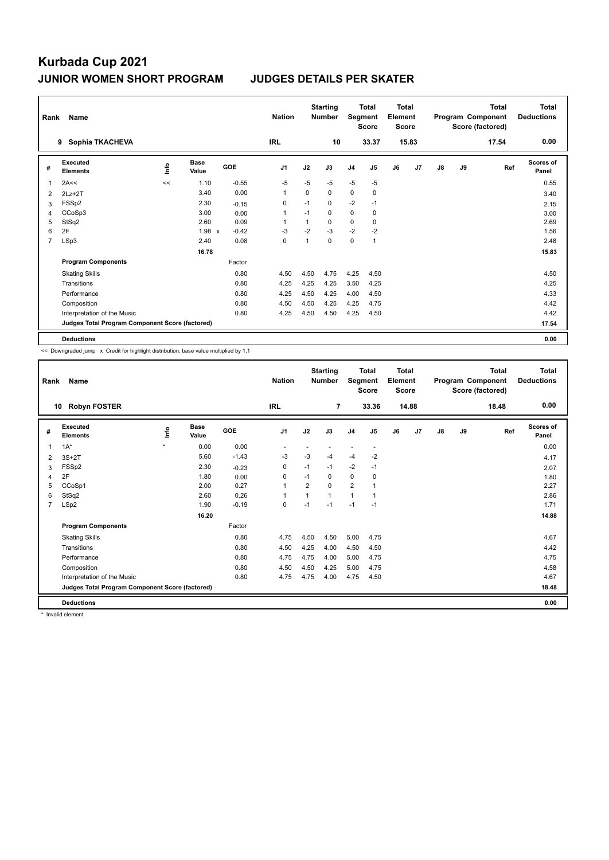| Rank           | Name                                            |      |                      |         | <b>Nation</b>  |      | <b>Starting</b><br><b>Number</b> | Segment        | <b>Total</b><br><b>Score</b> | <b>Total</b><br>Element<br><b>Score</b> |       |               |    | <b>Total</b><br>Program Component<br>Score (factored) | <b>Total</b><br><b>Deductions</b> |
|----------------|-------------------------------------------------|------|----------------------|---------|----------------|------|----------------------------------|----------------|------------------------------|-----------------------------------------|-------|---------------|----|-------------------------------------------------------|-----------------------------------|
|                | Sophia TKACHEVA<br>9                            |      |                      |         | <b>IRL</b>     |      | 10                               |                | 33.37                        |                                         | 15.83 |               |    | 17.54                                                 | 0.00                              |
| #              | Executed<br><b>Elements</b>                     | ١nfo | <b>Base</b><br>Value | GOE     | J <sub>1</sub> | J2   | J3                               | J <sub>4</sub> | J <sub>5</sub>               | J6                                      | J7    | $\mathsf{J}8$ | J9 | Ref                                                   | Scores of<br>Panel                |
|                | 2A<<                                            | <<   | 1.10                 | $-0.55$ | $-5$           | $-5$ | $-5$                             | $-5$           | $-5$                         |                                         |       |               |    |                                                       | 0.55                              |
| 2              | $2Lz+2T$                                        |      | 3.40                 | 0.00    | 1              | 0    | 0                                | $\mathbf 0$    | 0                            |                                         |       |               |    |                                                       | 3.40                              |
| 3              | FSSp2                                           |      | 2.30                 | $-0.15$ | 0              | $-1$ | 0                                | $-2$           | $-1$                         |                                         |       |               |    |                                                       | 2.15                              |
| 4              | CCoSp3                                          |      | 3.00                 | 0.00    | 1              | $-1$ | 0                                | 0              | 0                            |                                         |       |               |    |                                                       | 3.00                              |
| 5              | StSq2                                           |      | 2.60                 | 0.09    | 1              | 1    | $\Omega$                         | 0              | $\mathbf 0$                  |                                         |       |               |    |                                                       | 2.69                              |
| 6              | 2F                                              |      | $1.98 \times$        | $-0.42$ | $-3$           | $-2$ | $-3$                             | $-2$           | $-2$                         |                                         |       |               |    |                                                       | 1.56                              |
| $\overline{7}$ | LSp3                                            |      | 2.40                 | 0.08    | 0              | 1    | $\mathbf 0$                      | $\mathbf 0$    | $\overline{1}$               |                                         |       |               |    |                                                       | 2.48                              |
|                |                                                 |      | 16.78                |         |                |      |                                  |                |                              |                                         |       |               |    |                                                       | 15.83                             |
|                | <b>Program Components</b>                       |      |                      | Factor  |                |      |                                  |                |                              |                                         |       |               |    |                                                       |                                   |
|                | <b>Skating Skills</b>                           |      |                      | 0.80    | 4.50           | 4.50 | 4.75                             | 4.25           | 4.50                         |                                         |       |               |    |                                                       | 4.50                              |
|                | Transitions                                     |      |                      | 0.80    | 4.25           | 4.25 | 4.25                             | 3.50           | 4.25                         |                                         |       |               |    |                                                       | 4.25                              |
|                | Performance                                     |      |                      | 0.80    | 4.25           | 4.50 | 4.25                             | 4.00           | 4.50                         |                                         |       |               |    |                                                       | 4.33                              |
|                | Composition                                     |      |                      | 0.80    | 4.50           | 4.50 | 4.25                             | 4.25           | 4.75                         |                                         |       |               |    |                                                       | 4.42                              |
|                | Interpretation of the Music                     |      |                      | 0.80    | 4.25           | 4.50 | 4.50                             | 4.25           | 4.50                         |                                         |       |               |    |                                                       | 4.42                              |
|                | Judges Total Program Component Score (factored) |      |                      |         |                |      |                                  |                |                              |                                         |       |               |    |                                                       | 17.54                             |
|                | <b>Deductions</b>                               |      |                      |         |                |      |                                  |                |                              |                                         |       |               |    |                                                       | 0.00                              |

<< Downgraded jump x Credit for highlight distribution, base value multiplied by 1.1

| Rank | Name                                            |         |                      |            | <b>Nation</b>  |                | <b>Starting</b><br><b>Number</b> | Segment        | <b>Total</b><br><b>Score</b> | <b>Total</b><br>Element<br><b>Score</b> |       |               |    | <b>Total</b><br>Program Component<br>Score (factored) | Total<br><b>Deductions</b> |
|------|-------------------------------------------------|---------|----------------------|------------|----------------|----------------|----------------------------------|----------------|------------------------------|-----------------------------------------|-------|---------------|----|-------------------------------------------------------|----------------------------|
|      | <b>Robyn FOSTER</b><br>10                       |         |                      |            | <b>IRL</b>     |                | 7                                |                | 33.36                        |                                         | 14.88 |               |    | 18.48                                                 | 0.00                       |
| #    | Executed<br><b>Elements</b>                     | lnfo    | <b>Base</b><br>Value | <b>GOE</b> | J <sub>1</sub> | J2             | J3                               | J <sub>4</sub> | J5                           | J6                                      | J7    | $\mathsf{J}8$ | J9 | Ref                                                   | Scores of<br>Panel         |
| 1    | $1A^*$                                          | $\star$ | 0.00                 | 0.00       |                |                |                                  |                |                              |                                         |       |               |    |                                                       | 0.00                       |
| 2    | $3S+2T$                                         |         | 5.60                 | $-1.43$    | $-3$           | $-3$           | $-4$                             | $-4$           | $-2$                         |                                         |       |               |    |                                                       | 4.17                       |
| 3    | FSSp2                                           |         | 2.30                 | $-0.23$    | 0              | $-1$           | $-1$                             | $-2$           | $-1$                         |                                         |       |               |    |                                                       | 2.07                       |
| 4    | 2F                                              |         | 1.80                 | 0.00       | $\Omega$       | $-1$           | $\Omega$                         | $\Omega$       | 0                            |                                         |       |               |    |                                                       | 1.80                       |
| 5    | CCoSp1                                          |         | 2.00                 | 0.27       | 1              | $\overline{2}$ | 0                                | $\overline{2}$ |                              |                                         |       |               |    |                                                       | 2.27                       |
| 6    | StSq2                                           |         | 2.60                 | 0.26       | 1              | $\overline{1}$ | 1                                | $\mathbf{1}$   |                              |                                         |       |               |    |                                                       | 2.86                       |
| 7    | LSp2                                            |         | 1.90                 | $-0.19$    | 0              | $-1$           | $-1$                             | $-1$           | $-1$                         |                                         |       |               |    |                                                       | 1.71                       |
|      |                                                 |         | 16.20                |            |                |                |                                  |                |                              |                                         |       |               |    |                                                       | 14.88                      |
|      | <b>Program Components</b>                       |         |                      | Factor     |                |                |                                  |                |                              |                                         |       |               |    |                                                       |                            |
|      | <b>Skating Skills</b>                           |         |                      | 0.80       | 4.75           | 4.50           | 4.50                             | 5.00           | 4.75                         |                                         |       |               |    |                                                       | 4.67                       |
|      | Transitions                                     |         |                      | 0.80       | 4.50           | 4.25           | 4.00                             | 4.50           | 4.50                         |                                         |       |               |    |                                                       | 4.42                       |
|      | Performance                                     |         |                      | 0.80       | 4.75           | 4.75           | 4.00                             | 5.00           | 4.75                         |                                         |       |               |    |                                                       | 4.75                       |
|      | Composition                                     |         |                      | 0.80       | 4.50           | 4.50           | 4.25                             | 5.00           | 4.75                         |                                         |       |               |    |                                                       | 4.58                       |
|      | Interpretation of the Music                     |         |                      | 0.80       | 4.75           | 4.75           | 4.00                             | 4.75           | 4.50                         |                                         |       |               |    |                                                       | 4.67                       |
|      | Judges Total Program Component Score (factored) |         |                      |            |                |                |                                  |                |                              |                                         |       |               |    |                                                       | 18.48                      |
|      | <b>Deductions</b>                               |         |                      |            |                |                |                                  |                |                              |                                         |       |               |    |                                                       | 0.00                       |

\* Invalid element